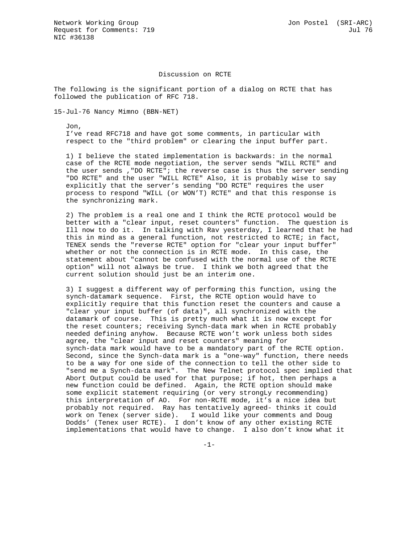## Discussion on RCTE

The following is the significant portion of a dialog on RCTE that has followed the publication of RFC 718.

15-Jul-76 Nancy Mimno (BBN-NET)

 Jon, I've read RFC718 and have got some comments, in particular with respect to the "third problem" or clearing the input buffer part.

 1) I believe the stated implementation is backwards: in the normal case of the RCTE mode negotiation, the server sends "WILL RCTE" and the user sends ,"DO RCTE"; the reverse case is thus the server sending "DO RCTE" and the user "WILL RCTE" Also, it is probably wise to say explicitly that the server's sending "DO RCTE" requires the user process to respond "WILL (or WON'T) RCTE" and that this response is the synchronizing mark.

 2) The problem is a real one and I think the RCTE protocol would be better with a "clear input, reset counters" function. The question is Ill now to do it. In talking with Rav yesterday, I learned that he had this in mind as a general function, not restricted to RCTE; in fact, TENEX sends the "reverse RCTE" option for "clear your input buffer" whether or not the connection is in RCTE mode. In this case, the statement about "cannot be confused with the normal use of the RCTE option" will not always be true. I think we both agreed that the current solution should just be an interim one.

 3) I suggest a different way of performing this function, using the synch-datamark sequence. First, the RCTE option would have to explicitly require that this function reset the counters and cause a "clear your input buffer (of data)", all synchronized with the datamark of course. This is pretty much what it is now except for the reset counters; receiving Synch-data mark when in RCTE probably needed defining anyhow. Because RCTE won't work unless both sides agree, the "clear input and reset counters" meaning for synch-data mark would have to be a mandatory part of the RCTE option. Second, since the Synch-data mark is a "one-way" function, there needs to be a way for one side of the connection to tell the other side to "send me a Synch-data mark". The New Telnet protocol spec implied that Abort Output could be used for that purpose; if hot, then perhaps a new function could be defined. Again, the RCTE option should make some explicit statement requiring (or very strongLy recommending) this interpretation of AO. For non-RCTE mode, it's a nice idea but probably not required. Ray has tentatively agreed- thinks it could work on Tenex (server side). I would like your comments and Doug Dodds' (Tenex user RCTE). I don't know of any other existing RCTE implementations that would have to change. I also don't know what it